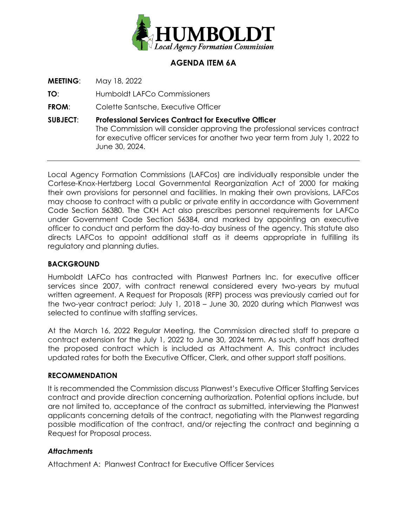

# **AGENDA ITEM 6A**

**MEETING**: May 18, 2022

**TO**: Humboldt LAFCo Commissioners

**FROM**: Colette Santsche, Executive Officer

**SUBJECT**: **Professional Services Contract for Executive Officer** The Commission will consider approving the professional services contract for executive officer services for another two year term from July 1, 2022 to June 30, 2024.

Local Agency Formation Commissions (LAFCos) are individually responsible under the Cortese-Knox-Hertzberg Local Governmental Reorganization Act of 2000 for making their own provisions for personnel and facilities. In making their own provisions, LAFCos may choose to contract with a public or private entity in accordance with Government Code Section 56380. The CKH Act also prescribes personnel requirements for LAFCo under Government Code Section 56384, and marked by appointing an executive officer to conduct and perform the day-to-day business of the agency. This statute also directs LAFCos to appoint additional staff as it deems appropriate in fulfilling its regulatory and planning duties.

## **BACKGROUND**

Humboldt LAFCo has contracted with Planwest Partners Inc. for executive officer services since 2007, with contract renewal considered every two-years by mutual written agreement. A Request for Proposals (RFP) process was previously carried out for the two-year contract period: July 1, 2018 – June 30, 2020 during which Planwest was selected to continue with staffing services.

At the March 16, 2022 Regular Meeting, the Commission directed staff to prepare a contract extension for the July 1, 2022 to June 30, 2024 term. As such, staff has drafted the proposed contract which is included as Attachment A. This contract includes updated rates for both the Executive Officer, Clerk, and other support staff positions.

## **RECOMMENDATION**

It is recommended the Commission discuss Planwest's Executive Officer Staffing Services contract and provide direction concerning authorization. Potential options include, but are not limited to, acceptance of the contract as submitted, interviewing the Planwest applicants concerning details of the contract, negotiating with the Planwest regarding possible modification of the contract, and/or rejecting the contract and beginning a Request for Proposal process.

## *Attachments*

Attachment A: Planwest Contract for Executive Officer Services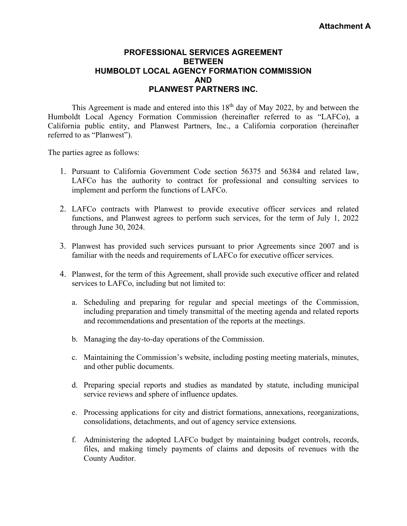## **PROFESSIONAL SERVICES AGREEMENT BETWEEN HUMBOLDT LOCAL AGENCY FORMATION COMMISSION AND PLANWEST PARTNERS INC.**

This Agreement is made and entered into this  $18<sup>th</sup>$  day of May 2022, by and between the Humboldt Local Agency Formation Commission (hereinafter referred to as "LAFCo), a California public entity, and Planwest Partners, Inc., a California corporation (hereinafter referred to as "Planwest").

The parties agree as follows:

- 1. Pursuant to California Government Code section 56375 and 56384 and related law, LAFCo has the authority to contract for professional and consulting services to implement and perform the functions of LAFCo.
- 2. LAFCo contracts with Planwest to provide executive officer services and related functions, and Planwest agrees to perform such services, for the term of July 1, 2022 through June 30, 2024.
- 3. Planwest has provided such services pursuant to prior Agreements since 2007 and is familiar with the needs and requirements of LAFCo for executive officer services.
- 4. Planwest, for the term of this Agreement, shall provide such executive officer and related services to LAFCo, including but not limited to:
	- a. Scheduling and preparing for regular and special meetings of the Commission, including preparation and timely transmittal of the meeting agenda and related reports and recommendations and presentation of the reports at the meetings.
	- b. Managing the day-to-day operations of the Commission.
	- c. Maintaining the Commission's website, including posting meeting materials, minutes, and other public documents.
	- d. Preparing special reports and studies as mandated by statute, including municipal service reviews and sphere of influence updates.
	- e. Processing applications for city and district formations, annexations, reorganizations, consolidations, detachments, and out of agency service extensions.
	- f. Administering the adopted LAFCo budget by maintaining budget controls, records, files, and making timely payments of claims and deposits of revenues with the County Auditor.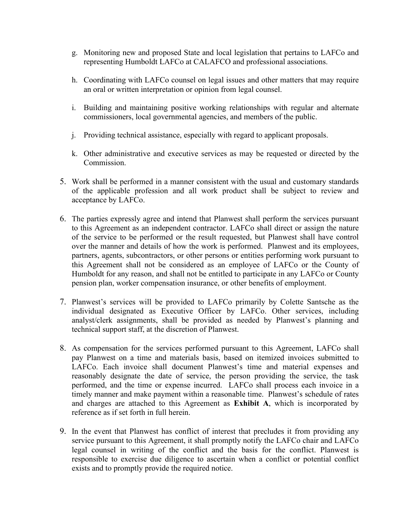- g. Monitoring new and proposed State and local legislation that pertains to LAFCo and representing Humboldt LAFCo at CALAFCO and professional associations.
- h. Coordinating with LAFCo counsel on legal issues and other matters that may require an oral or written interpretation or opinion from legal counsel.
- i. Building and maintaining positive working relationships with regular and alternate commissioners, local governmental agencies, and members of the public.
- j. Providing technical assistance, especially with regard to applicant proposals.
- k. Other administrative and executive services as may be requested or directed by the Commission.
- 5. Work shall be performed in a manner consistent with the usual and customary standards of the applicable profession and all work product shall be subject to review and acceptance by LAFCo.
- 6. The parties expressly agree and intend that Planwest shall perform the services pursuant to this Agreement as an independent contractor. LAFCo shall direct or assign the nature of the service to be performed or the result requested, but Planwest shall have control over the manner and details of how the work is performed. Planwest and its employees, partners, agents, subcontractors, or other persons or entities performing work pursuant to this Agreement shall not be considered as an employee of LAFCo or the County of Humboldt for any reason, and shall not be entitled to participate in any LAFCo or County pension plan, worker compensation insurance, or other benefits of employment.
- 7. Planwest's services will be provided to LAFCo primarily by Colette Santsche as the individual designated as Executive Officer by LAFCo. Other services, including analyst/clerk assignments, shall be provided as needed by Planwest's planning and technical support staff, at the discretion of Planwest.
- 8. As compensation for the services performed pursuant to this Agreement, LAFCo shall pay Planwest on a time and materials basis, based on itemized invoices submitted to LAFCo. Each invoice shall document Planwest's time and material expenses and reasonably designate the date of service, the person providing the service, the task performed, and the time or expense incurred. LAFCo shall process each invoice in a timely manner and make payment within a reasonable time. Planwest's schedule of rates and charges are attached to this Agreement as **Exhibit A**, which is incorporated by reference as if set forth in full herein.
- 9. In the event that Planwest has conflict of interest that precludes it from providing any service pursuant to this Agreement, it shall promptly notify the LAFCo chair and LAFCo legal counsel in writing of the conflict and the basis for the conflict. Planwest is responsible to exercise due diligence to ascertain when a conflict or potential conflict exists and to promptly provide the required notice.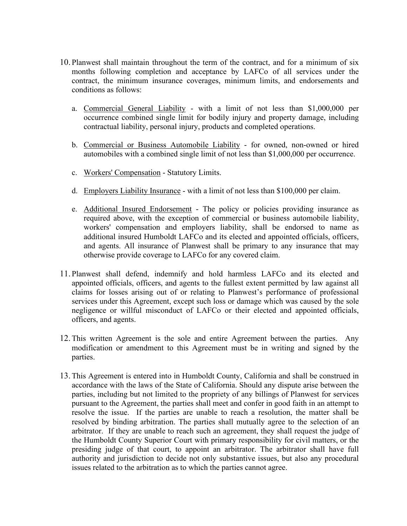- 10. Planwest shall maintain throughout the term of the contract, and for a minimum of six months following completion and acceptance by LAFCo of all services under the contract, the minimum insurance coverages, minimum limits, and endorsements and conditions as follows:
	- a. Commercial General Liability with a limit of not less than \$1,000,000 per occurrence combined single limit for bodily injury and property damage, including contractual liability, personal injury, products and completed operations.
	- b. Commercial or Business Automobile Liability for owned, non-owned or hired automobiles with a combined single limit of not less than \$1,000,000 per occurrence.
	- c. Workers' Compensation Statutory Limits.
	- d. Employers Liability Insurance with a limit of not less than \$100,000 per claim.
	- e. Additional Insured Endorsement The policy or policies providing insurance as required above, with the exception of commercial or business automobile liability, workers' compensation and employers liability, shall be endorsed to name as additional insured Humboldt LAFCo and its elected and appointed officials, officers, and agents. All insurance of Planwest shall be primary to any insurance that may otherwise provide coverage to LAFCo for any covered claim.
- 11. Planwest shall defend, indemnify and hold harmless LAFCo and its elected and appointed officials, officers, and agents to the fullest extent permitted by law against all claims for losses arising out of or relating to Planwest's performance of professional services under this Agreement, except such loss or damage which was caused by the sole negligence or willful misconduct of LAFCo or their elected and appointed officials, officers, and agents.
- 12.This written Agreement is the sole and entire Agreement between the parties. Any modification or amendment to this Agreement must be in writing and signed by the parties.
- 13.This Agreement is entered into in Humboldt County, California and shall be construed in accordance with the laws of the State of California. Should any dispute arise between the parties, including but not limited to the propriety of any billings of Planwest for services pursuant to the Agreement, the parties shall meet and confer in good faith in an attempt to resolve the issue. If the parties are unable to reach a resolution, the matter shall be resolved by binding arbitration. The parties shall mutually agree to the selection of an arbitrator. If they are unable to reach such an agreement, they shall request the judge of the Humboldt County Superior Court with primary responsibility for civil matters, or the presiding judge of that court, to appoint an arbitrator. The arbitrator shall have full authority and jurisdiction to decide not only substantive issues, but also any procedural issues related to the arbitration as to which the parties cannot agree.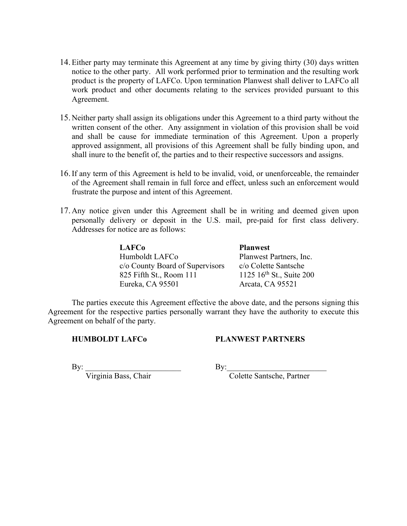- 14.Either party may terminate this Agreement at any time by giving thirty (30) days written notice to the other party. All work performed prior to termination and the resulting work product is the property of LAFCo. Upon termination Planwest shall deliver to LAFCo all work product and other documents relating to the services provided pursuant to this Agreement.
- 15. Neither party shall assign its obligations under this Agreement to a third party without the written consent of the other. Any assignment in violation of this provision shall be void and shall be cause for immediate termination of this Agreement. Upon a properly approved assignment, all provisions of this Agreement shall be fully binding upon, and shall inure to the benefit of, the parties and to their respective successors and assigns.
- 16.If any term of this Agreement is held to be invalid, void, or unenforceable, the remainder of the Agreement shall remain in full force and effect, unless such an enforcement would frustrate the purpose and intent of this Agreement.
- 17. Any notice given under this Agreement shall be in writing and deemed given upon personally delivery or deposit in the U.S. mail, pre-paid for first class delivery. Addresses for notice are as follows:

| <b>LAFCo</b>                    | <b>Planwest</b>                      |
|---------------------------------|--------------------------------------|
| Humboldt LAFCo                  | Planwest Partners, Inc.              |
| c/o County Board of Supervisors | c/o Colette Santsche                 |
| 825 Fifth St., Room 111         | 1125 16 <sup>th</sup> St., Suite 200 |
| Eureka, CA 95501                | Arcata, CA 95521                     |

The parties execute this Agreement effective the above date, and the persons signing this Agreement for the respective parties personally warrant they have the authority to execute this Agreement on behalf of the party.

**HUMBOLDT LAFCo PLANWEST PARTNERS**

By: \_\_\_\_\_\_\_\_\_\_\_\_\_\_\_\_\_\_\_\_\_\_\_\_ By:\_\_\_\_\_\_\_\_\_\_\_\_\_\_\_\_\_\_\_\_\_\_\_\_\_

Virginia Bass, Chair Colette Santsche, Partner